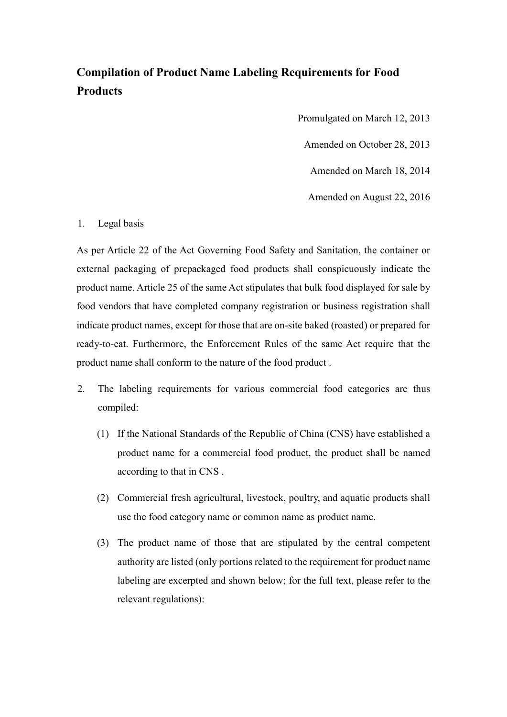## Compilation of Product Name Labeling Requirements for Food Products

Promulgated on March 12, 2013

Amended on October 28, 2013

Amended on March 18, 2014

Amended on August 22, 2016

## 1. Legal basis

As per Article 22 of the Act Governing Food Safety and Sanitation, the container or external packaging of prepackaged food products shall conspicuously indicate the product name. Article 25 of the same Act stipulates that bulk food displayed for sale by food vendors that have completed company registration or business registration shall indicate product names, except for those that are on-site baked (roasted) or prepared for ready-to-eat. Furthermore, the Enforcement Rules of the same Act require that the product name shall conform to the nature of the food product .

- 2. The labeling requirements for various commercial food categories are thus compiled:
	- (1) If the National Standards of the Republic of China (CNS) have established a product name for a commercial food product, the product shall be named according to that in CNS .
	- (2) Commercial fresh agricultural, livestock, poultry, and aquatic products shall use the food category name or common name as product name.
	- (3) The product name of those that are stipulated by the central competent authority are listed (only portions related to the requirement for product name labeling are excerpted and shown below; for the full text, please refer to the relevant regulations):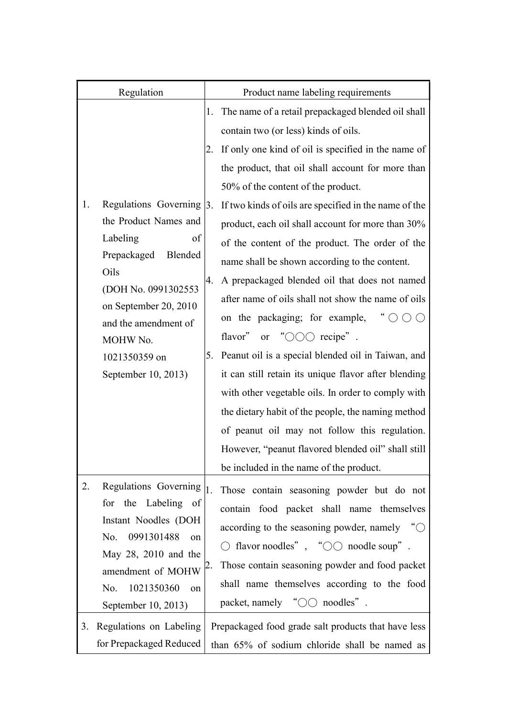| Regulation                                                                                                                                                                                                                                      | Product name labeling requirements                                                                                                                                                                                                                                                                                                                                                                                                                                                                                                                                                                                                                                                                                                                                                                                                                                              |
|-------------------------------------------------------------------------------------------------------------------------------------------------------------------------------------------------------------------------------------------------|---------------------------------------------------------------------------------------------------------------------------------------------------------------------------------------------------------------------------------------------------------------------------------------------------------------------------------------------------------------------------------------------------------------------------------------------------------------------------------------------------------------------------------------------------------------------------------------------------------------------------------------------------------------------------------------------------------------------------------------------------------------------------------------------------------------------------------------------------------------------------------|
|                                                                                                                                                                                                                                                 | The name of a retail prepackaged blended oil shall<br>1.                                                                                                                                                                                                                                                                                                                                                                                                                                                                                                                                                                                                                                                                                                                                                                                                                        |
|                                                                                                                                                                                                                                                 | contain two (or less) kinds of oils.<br>If only one kind of oil is specified in the name of<br>2.<br>the product, that oil shall account for more than                                                                                                                                                                                                                                                                                                                                                                                                                                                                                                                                                                                                                                                                                                                          |
| Regulations Governing $\vert$ 3.<br>1.<br>the Product Names and<br>Labeling<br>of<br>Blended<br>Prepackaged<br>Oils<br>(DOH No. 0991302553<br>on September 20, 2010<br>and the amendment of<br>MOHW No.<br>1021350359 on<br>September 10, 2013) | 50% of the content of the product.<br>If two kinds of oils are specified in the name of the<br>product, each oil shall account for more than 30%<br>of the content of the product. The order of the<br>name shall be shown according to the content.<br>A prepackaged blended oil that does not named<br>4.<br>after name of oils shall not show the name of oils<br>$\degree$ O O O<br>on the packaging; for example,<br>" $\bigcirc$ $\bigcirc$ $\bigcirc$ recipe".<br>flavor"<br><b>or</b><br>Peanut oil is a special blended oil in Taiwan, and<br>5.<br>it can still retain its unique flavor after blending<br>with other vegetable oils. In order to comply with<br>the dietary habit of the people, the naming method<br>of peanut oil may not follow this regulation.<br>However, "peanut flavored blended oil" shall still<br>be included in the name of the product. |
| Regulations Governing<br>2.<br>for the Labeling of<br>Instant Noodles (DOH<br>0991301488<br>No.<br>on<br>May 28, 2010 and the<br>amendment of MOHW<br>1021350360<br>No.<br>on<br>September 10, 2013)                                            | 1.<br>Those contain seasoning powder but do not<br>contain food packet shall name themselves<br>according to the seasoning powder, namely " $\bigcirc$<br>$\bigcirc$ flavor noodles", " $\bigcirc \bigcirc$ noodle soup".<br>Those contain seasoning powder and food packet<br>Ζ.<br>shall name themselves according to the food<br>packet, namely " $\bigcirc \bigcirc$ noodles".                                                                                                                                                                                                                                                                                                                                                                                                                                                                                              |
| Regulations on Labeling<br>3.<br>for Prepackaged Reduced                                                                                                                                                                                        | Prepackaged food grade salt products that have less<br>than 65% of sodium chloride shall be named as                                                                                                                                                                                                                                                                                                                                                                                                                                                                                                                                                                                                                                                                                                                                                                            |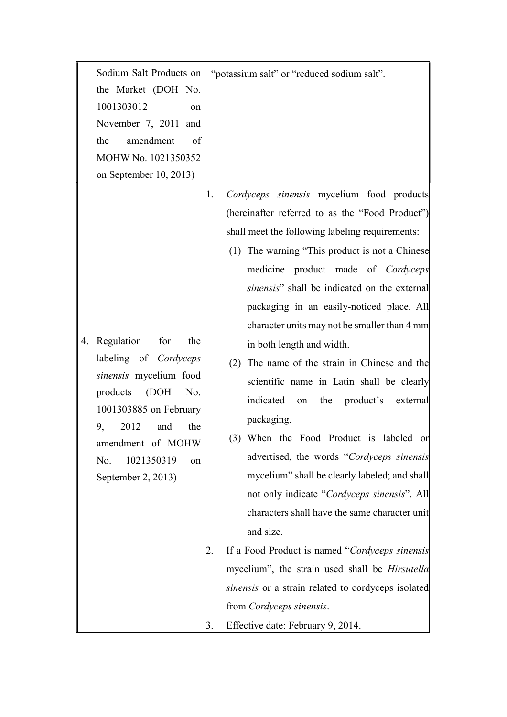| Sodium Salt Products on<br>the Market (DOH No.<br>1001303012<br>November 7, 2011 and<br>amendment<br>the<br>MOHW No. 1021350352<br>on September 10, 2013)                                                  | on<br>of                | "potassium salt" or "reduced sodium salt".                                                                                                                                                                                                                                                                                                                                                                                                                                                                                                                                                                                                                                                                                                                                                                                                                                                                                                                                                                                                                                                     |
|------------------------------------------------------------------------------------------------------------------------------------------------------------------------------------------------------------|-------------------------|------------------------------------------------------------------------------------------------------------------------------------------------------------------------------------------------------------------------------------------------------------------------------------------------------------------------------------------------------------------------------------------------------------------------------------------------------------------------------------------------------------------------------------------------------------------------------------------------------------------------------------------------------------------------------------------------------------------------------------------------------------------------------------------------------------------------------------------------------------------------------------------------------------------------------------------------------------------------------------------------------------------------------------------------------------------------------------------------|
| Regulation for<br>4.<br>labeling of Cordyceps<br>sinensis mycelium food<br>products<br>(DOH<br>1001303885 on February<br>2012<br>and<br>9,<br>amendment of MOHW<br>1021350319<br>No.<br>September 2, 2013) | the<br>No.<br>the<br>on | Cordyceps sinensis mycelium food products<br>1.<br>(hereinafter referred to as the "Food Product")<br>shall meet the following labeling requirements:<br>(1) The warning "This product is not a Chinese<br>medicine product made of Cordyceps<br>sinensis" shall be indicated on the external<br>packaging in an easily-noticed place. All<br>character units may not be smaller than 4 mm<br>in both length and width.<br>The name of the strain in Chinese and the<br>(2)<br>scientific name in Latin shall be clearly<br>indicated<br>the product's<br>external<br>on<br>packaging.<br>(3) When the Food Product is labeled<br>or<br>advertised, the words "Cordyceps sinensis<br>mycelium" shall be clearly labeled; and shall<br>not only indicate "Cordyceps sinensis". All<br>characters shall have the same character unit<br>and size.<br>If a Food Product is named "Cordyceps sinensis"<br>2.<br>mycelium", the strain used shall be <i>Hirsutella</i><br>sinensis or a strain related to cordyceps isolated<br>from Cordyceps sinensis.<br>Effective date: February 9, 2014.<br>3. |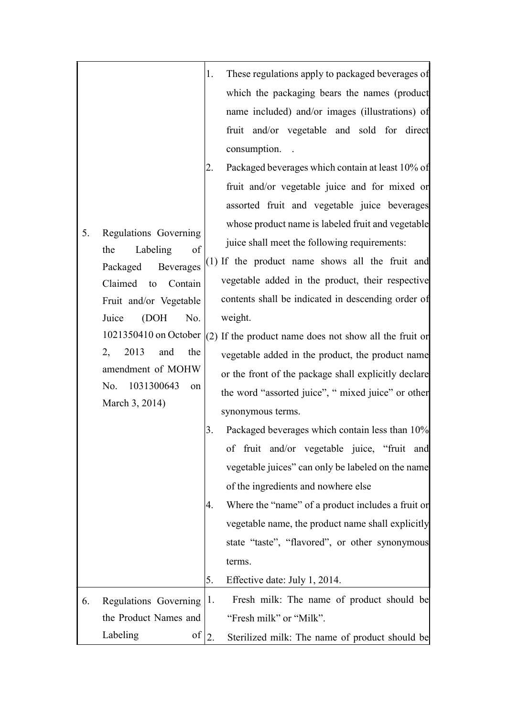|    |                                                | 1. | These regulations apply to packaged beverages of       |
|----|------------------------------------------------|----|--------------------------------------------------------|
|    |                                                |    | which the packaging bears the names (product           |
|    |                                                |    | name included) and/or images (illustrations) of        |
|    |                                                |    | fruit and/or vegetable and sold for direct             |
|    |                                                |    | consumption.                                           |
|    |                                                | 2. | Packaged beverages which contain at least 10% of       |
|    |                                                |    | fruit and/or vegetable juice and for mixed or          |
|    |                                                |    | assorted fruit and vegetable juice beverages           |
|    |                                                |    | whose product name is labeled fruit and vegetable      |
| 5. | Regulations Governing<br>Labeling<br>of<br>the |    | juice shall meet the following requirements:           |
|    | Beverages<br>Packaged                          |    | $(1)$ If the product name shows all the fruit and      |
|    | Claimed<br>Contain<br>to                       |    | vegetable added in the product, their respective       |
|    | Fruit and/or Vegetable                         |    | contents shall be indicated in descending order of     |
|    | Juice<br>(DOH<br>No.                           |    | weight.                                                |
|    | 1021350410 on October                          |    | (2) If the product name does not show all the fruit or |
|    | 2013<br>2,<br>the<br>and                       |    | vegetable added in the product, the product name       |
|    | amendment of MOHW                              |    | or the front of the package shall explicitly declare   |
|    | 1031300643<br>No.<br>on                        |    | the word "assorted juice", " mixed juice" or other     |
|    | March 3, 2014)                                 |    | synonymous terms.                                      |
|    |                                                | 3. | Packaged beverages which contain less than 10%         |
|    |                                                |    | of fruit and/or vegetable juice, "fruit and            |
|    |                                                |    | vegetable juices" can only be labeled on the name      |
|    |                                                |    | of the ingredients and nowhere else                    |
|    |                                                | 4. | Where the "name" of a product includes a fruit or      |
|    |                                                |    | vegetable name, the product name shall explicitly      |
|    |                                                |    | state "taste", "flavored", or other synonymous         |
|    |                                                |    | terms.                                                 |
|    |                                                | 5. | Effective date: July 1, 2014.                          |
| 6. | Regulations Governing $ 1$ .                   |    | Fresh milk: The name of product should be              |
|    | the Product Names and                          |    | "Fresh milk" or "Milk".                                |
|    | Labeling<br>οf                                 | 2. | Sterilized milk: The name of product should be         |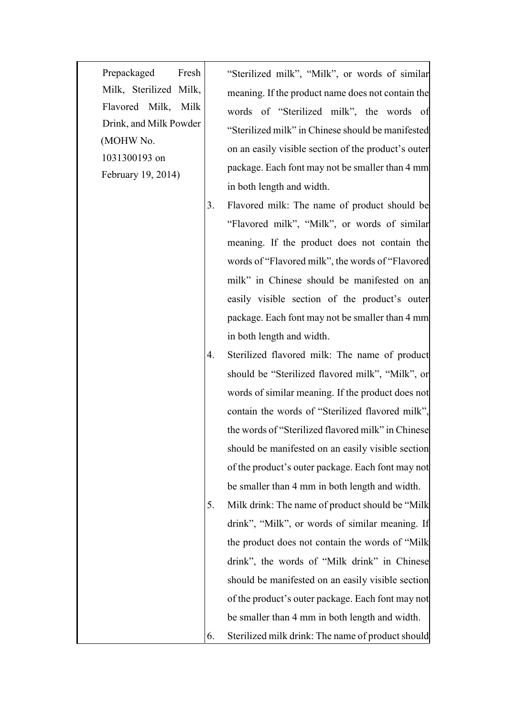Prepackaged Fresh Milk, Sterilized Milk, Flavored Milk, Milk Drink, and Milk Powder (MOHW No. 1031300193 on February 19, 2014)

"Sterilized milk", "Milk", or words of similar meaning. If the product name does not contain the words of "Sterilized milk", the words of "Sterilized milk" in Chinese should be manifested on an easily visible section of the product's outer package. Each font may not be smaller than 4 mm in both length and width.

- 3. Flavored milk: The name of product should be "Flavored milk", "Milk", or words of similar meaning. If the product does not contain the words of "Flavored milk", the words of "Flavored milk" in Chinese should be manifested on an easily visible section of the product's outer package. Each font may not be smaller than 4 mm in both length and width.
- 4. Sterilized flavored milk: The name of product should be "Sterilized flavored milk", "Milk", or words of similar meaning. If the product does not contain the words of "Sterilized flavored milk", the words of "Sterilized flavored milk" in Chinese should be manifested on an easily visible section of the product's outer package. Each font may not be smaller than 4 mm in both length and width.
- 5. Milk drink: The name of product should be "Milk drink", "Milk", or words of similar meaning. If the product does not contain the words of "Milk drink", the words of "Milk drink" in Chinese should be manifested on an easily visible section of the product's outer package. Each font may not be smaller than 4 mm in both length and width.
- 6. Sterilized milk drink: The name of product should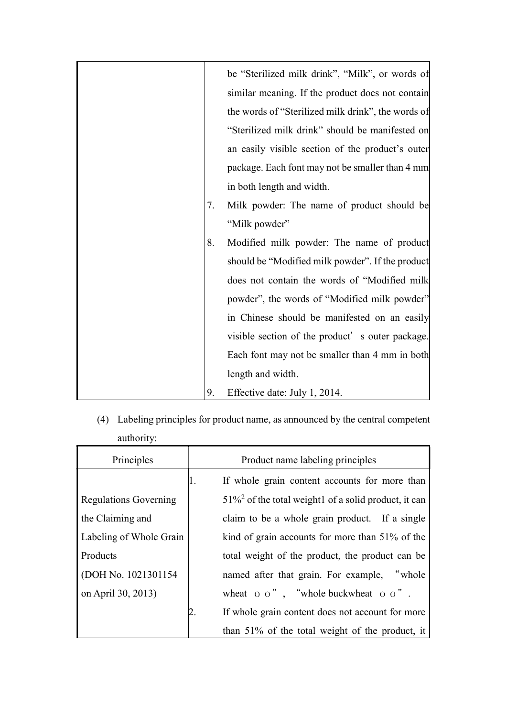|    | be "Sterilized milk drink", "Milk", or words of    |
|----|----------------------------------------------------|
|    | similar meaning. If the product does not contain   |
|    | the words of "Sterilized milk drink", the words of |
|    | "Sterilized milk drink" should be manifested on    |
|    | an easily visible section of the product's outer   |
|    | package. Each font may not be smaller than 4 mm    |
|    | in both length and width.                          |
| 7. | Milk powder: The name of product should be         |
|    | "Milk powder"                                      |
| 8. | Modified milk powder: The name of product          |
|    | should be "Modified milk powder". If the product   |
|    | does not contain the words of "Modified milk       |
|    | powder", the words of "Modified milk powder"       |
|    | in Chinese should be manifested on an easily       |
|    | visible section of the product's outer package.    |
|    | Each font may not be smaller than 4 mm in both     |
|    | length and width.                                  |
| 9. | Effective date: July 1, 2014.                      |

(4) Labeling principles for product name, as announced by the central competent authority:

| Principles                   | Product name labeling principles                |                                                                     |  |
|------------------------------|-------------------------------------------------|---------------------------------------------------------------------|--|
|                              | 1.                                              | If whole grain content accounts for more than                       |  |
| <b>Regulations Governing</b> |                                                 | $51\%$ <sup>2</sup> of the total weight1 of a solid product, it can |  |
| the Claiming and             | claim to be a whole grain product. If a single  |                                                                     |  |
| Labeling of Whole Grain      | kind of grain accounts for more than 51% of the |                                                                     |  |
| Products                     |                                                 | total weight of the product, the product can be                     |  |
| (DOH No. 1021301154          |                                                 | named after that grain. For example, "whole                         |  |
| on April 30, 2013)           |                                                 | wheat $\circ$ $\circ$ ", "whole buckwheat $\circ$ $\circ$ ".        |  |
|                              | 2.                                              | If whole grain content does not account for more                    |  |
|                              |                                                 | than 51% of the total weight of the product, it                     |  |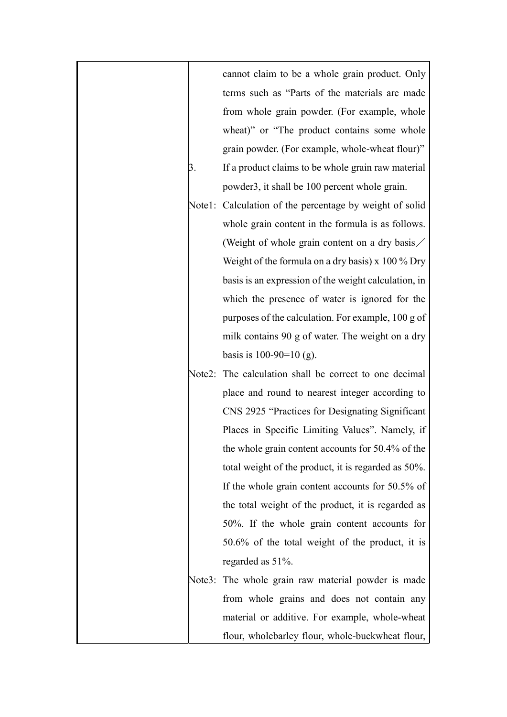|        | cannot claim to be a whole grain product. Only          |
|--------|---------------------------------------------------------|
|        | terms such as "Parts of the materials are made          |
|        | from whole grain powder. (For example, whole            |
|        | wheat)" or "The product contains some whole             |
|        | grain powder. (For example, whole-wheat flour)"         |
| 3.     | If a product claims to be whole grain raw material      |
|        | powder3, it shall be 100 percent whole grain.           |
|        | Note1: Calculation of the percentage by weight of solid |
|        | whole grain content in the formula is as follows.       |
|        | (Weight of whole grain content on a dry basis/          |
|        | Weight of the formula on a dry basis) $x$ 100 % Dry     |
|        | basis is an expression of the weight calculation, in    |
|        | which the presence of water is ignored for the          |
|        | purposes of the calculation. For example, 100 g of      |
|        | milk contains 90 g of water. The weight on a dry        |
|        | basis is $100-90=10$ (g).                               |
| Note2: | The calculation shall be correct to one decimal         |
|        | place and round to nearest integer according to         |
|        | CNS 2925 "Practices for Designating Significant         |
|        | Places in Specific Limiting Values". Namely, if         |
|        | the whole grain content accounts for 50.4% of the       |
|        | total weight of the product, it is regarded as 50%.     |
|        | If the whole grain content accounts for 50.5% of        |
|        | the total weight of the product, it is regarded as      |
|        | 50%. If the whole grain content accounts for            |
|        | $50.6\%$ of the total weight of the product, it is      |
|        | regarded as 51%.                                        |
|        | Note3: The whole grain raw material powder is made      |
|        | from whole grains and does not contain any              |
|        | material or additive. For example, whole-wheat          |
|        | flour, wholebarley flour, whole-buckwheat flour,        |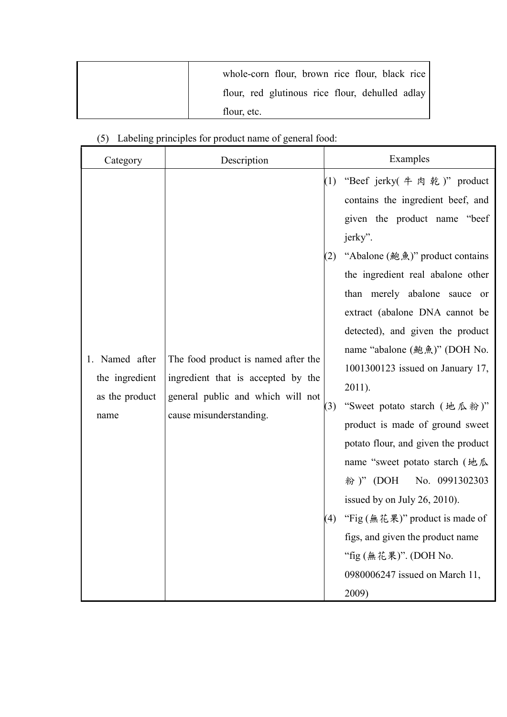| whole-corn flour, brown rice flour, black rice  |
|-------------------------------------------------|
| flour, red glutinous rice flour, dehulled adlay |
| flour, etc.                                     |

| Category                                                      | Description                                                                                                                               |            | Examples                                                                                                                                                                                                                                                                                                                                                                                                                                                                                                                                                                                               |
|---------------------------------------------------------------|-------------------------------------------------------------------------------------------------------------------------------------------|------------|--------------------------------------------------------------------------------------------------------------------------------------------------------------------------------------------------------------------------------------------------------------------------------------------------------------------------------------------------------------------------------------------------------------------------------------------------------------------------------------------------------------------------------------------------------------------------------------------------------|
| Named after<br>1.<br>the ingredient<br>as the product<br>name | The food product is named after the<br>ingredient that is accepted by the<br>general public and which will not<br>cause misunderstanding. | (2)<br>(3) | (1) "Beef jerky( $\# \ntrianglelefteq$ )" product<br>contains the ingredient beef, and<br>given the product name "beef"<br>jerky".<br>"Abalone (鮑魚)" product contains<br>the ingredient real abalone other<br>than merely abalone sauce or<br>extract (abalone DNA cannot be<br>detected), and given the product<br>name "abalone (鮑魚)" (DOH No.<br>1001300123 issued on January 17,<br>2011).<br>"Sweet potato starch (地瓜粉)"<br>product is made of ground sweet<br>potato flour, and given the product<br>name "sweet potato starch (地瓜<br>粉)" (DOH<br>No. 0991302303<br>issued by on July 26, 2010). |
|                                                               |                                                                                                                                           | (4)        | "Fig $(*$ 花果)" product is made of                                                                                                                                                                                                                                                                                                                                                                                                                                                                                                                                                                      |
|                                                               |                                                                                                                                           |            | figs, and given the product name                                                                                                                                                                                                                                                                                                                                                                                                                                                                                                                                                                       |
|                                                               |                                                                                                                                           |            | "fig (無花果)". (DOH No.                                                                                                                                                                                                                                                                                                                                                                                                                                                                                                                                                                                  |
|                                                               |                                                                                                                                           |            | 0980006247 issued on March 11,<br>2009)                                                                                                                                                                                                                                                                                                                                                                                                                                                                                                                                                                |

(5) Labeling principles for product name of general food: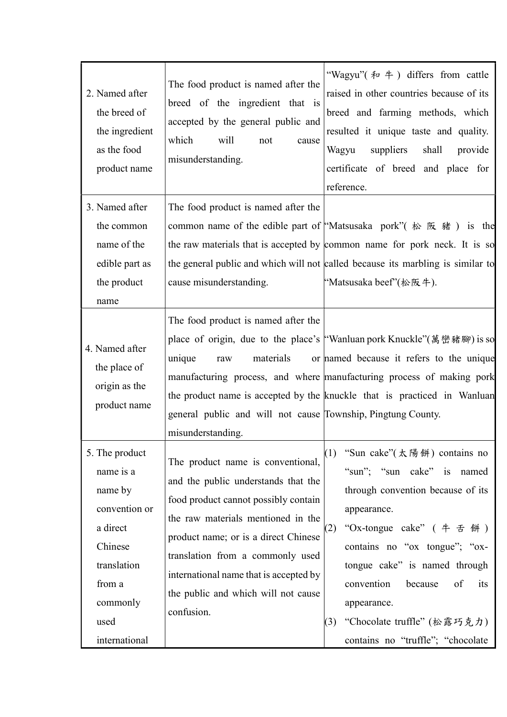| 2. Named after<br>the breed of<br>the ingredient<br>as the food<br>product name                                                              | The food product is named after the<br>breed of the ingredient that is<br>accepted by the general public and<br>which<br>will<br>not<br>cause<br>misunderstanding.                                                                                                                                                                | "Wagyu" $\left(\frac{1}{2} + 4\right)$ differs from cattle<br>raised in other countries because of its<br>breed and farming methods, which<br>resulted it unique taste and quality.<br>suppliers<br>Wagyu<br>shall<br>provide<br>certificate of breed and place for<br>reference.                                                                       |
|----------------------------------------------------------------------------------------------------------------------------------------------|-----------------------------------------------------------------------------------------------------------------------------------------------------------------------------------------------------------------------------------------------------------------------------------------------------------------------------------|---------------------------------------------------------------------------------------------------------------------------------------------------------------------------------------------------------------------------------------------------------------------------------------------------------------------------------------------------------|
| 3. Named after<br>the common<br>name of the<br>edible part as<br>the product<br>name                                                         | The food product is named after the<br>cause misunderstanding.                                                                                                                                                                                                                                                                    | common name of the edible part of "Matsusaka pork" (松阪豬) is the<br>the raw materials that is accepted by common name for pork neck. It is so<br>the general public and which will not called because its marbling is similar to<br>"Matsusaka beef"(松阪牛).                                                                                               |
| 4. Named after<br>the place of<br>origin as the<br>product name                                                                              | The food product is named after the<br>materials<br>unique<br>raw<br>general public and will not cause Township, Pingtung County.<br>misunderstanding.                                                                                                                                                                            | place of origin, due to the place's "Wanluan pork Knuckle"(萬巒豬腳) is so<br>or named because it refers to the unique<br>manufacturing process, and where manufacturing process of making pork<br>the product name is accepted by the knuckle that is practiced in Wanluan                                                                                 |
| 5. The product<br>name is a<br>name by<br>convention or<br>a direct<br>Chinese<br>translation<br>from a<br>commonly<br>used<br>international | The product name is conventional,<br>and the public understands that the<br>food product cannot possibly contain<br>the raw materials mentioned in the<br>product name; or is a direct Chinese<br>translation from a commonly used<br>international name that is accepted by<br>the public and which will not cause<br>confusion. | (1)<br>"Sun cake"(太陽餅) contains no<br>"sun"; "sun cake" is named<br>through convention because of its<br>appearance.<br>"Ox-tongue cake" (牛舌餅)<br>(2)<br>contains no "ox tongue"; "ox-<br>tongue cake" is named through<br>convention<br>because<br>of<br>its<br>appearance.<br>"Chocolate truffle" (松露巧克力)<br>(3)<br>contains no "truffle"; "chocolate |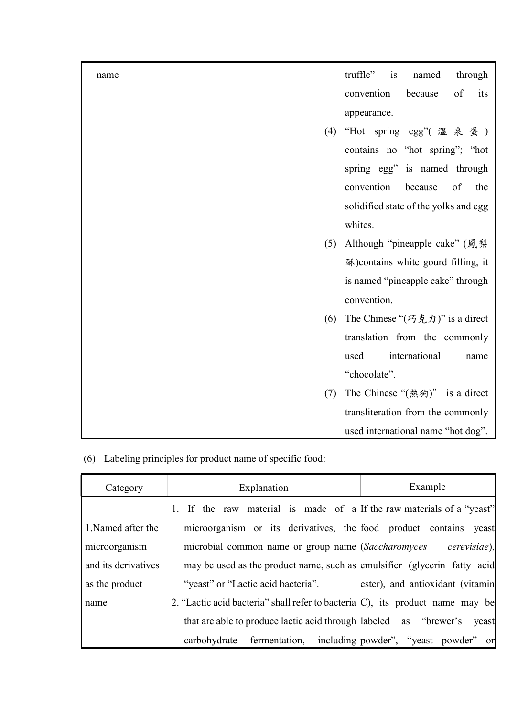| name |     | truffle" is<br>through<br>named                                 |
|------|-----|-----------------------------------------------------------------|
|      |     | convention<br>$\sigma f$<br>because<br>its                      |
|      |     | appearance.                                                     |
|      | (4) | "Hot spring egg"(溫泉蛋)                                           |
|      |     | contains no "hot spring"; "hot                                  |
|      |     | spring egg" is named through                                    |
|      |     | convention<br>because<br>of<br>the                              |
|      |     | solidified state of the yolks and egg                           |
|      |     | whites.                                                         |
|      | (5) | Although "pineapple cake" (鳳梨                                   |
|      |     | 酥) contains white gourd filling, it                             |
|      |     | is named "pineapple cake" through                               |
|      |     | convention.                                                     |
|      | (6) | The Chinese " $(5, \frac{\pi}{2}, \frac{\pi}{2})$ " is a direct |
|      |     | translation from the commonly                                   |
|      |     | international<br>used<br>name                                   |
|      |     | "chocolate".                                                    |
|      | (7) | The Chinese "(熱狗)" is a direct                                  |
|      |     | transliteration from the commonly                               |
|      |     | used international name "hot dog".                              |

(6) Labeling principles for product name of specific food:

| Category            | Explanation                                                                       | Example                              |
|---------------------|-----------------------------------------------------------------------------------|--------------------------------------|
|                     | If the raw material is made of a If the raw materials of a "yeast"                |                                      |
| 1. Named after the  | microorganism or its derivatives, the food product contains yeast                 |                                      |
| microorganism       | microbial common name or group name <i>(Saccharomyces</i> )                       | cerevisiae),                         |
| and its derivatives | may be used as the product name, such as emulsifier (glycerin fatty acid          |                                      |
| as the product      | "yeast" or "Lactic acid bacteria".                                                | ester), and antioxidant (vitamin     |
| name                | 2. "Lactic acid bacteria" shall refer to bacteria $(C)$ , its product name may be |                                      |
|                     | that are able to produce lactic acid through   abeled as "brewer's                | yeast                                |
|                     | carbohydrate<br>fermentation,                                                     | including powder", "yeast powder" or |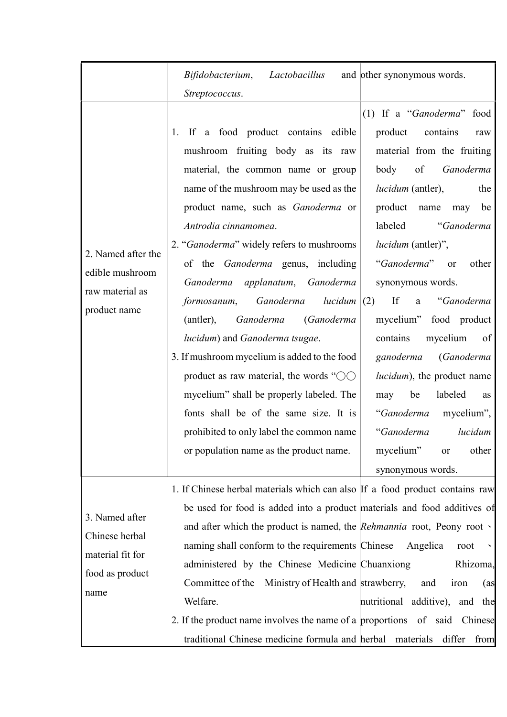|                                                                                 | Bifidobacterium, Lactobacillus<br>Streptococcus.                                                                                                                                                                                                                                                                                                                                                                                                                                                                                                                                                                                                                                                                                                                  | and other synonymous words.                                                                                                                                                                                                                                                                                                                                                                                                                                                                                                                                                        |
|---------------------------------------------------------------------------------|-------------------------------------------------------------------------------------------------------------------------------------------------------------------------------------------------------------------------------------------------------------------------------------------------------------------------------------------------------------------------------------------------------------------------------------------------------------------------------------------------------------------------------------------------------------------------------------------------------------------------------------------------------------------------------------------------------------------------------------------------------------------|------------------------------------------------------------------------------------------------------------------------------------------------------------------------------------------------------------------------------------------------------------------------------------------------------------------------------------------------------------------------------------------------------------------------------------------------------------------------------------------------------------------------------------------------------------------------------------|
| 2. Named after the<br>edible mushroom<br>raw material as<br>product name        | If a food product contains edible<br>1.<br>mushroom fruiting body as its raw<br>material, the common name or group<br>name of the mushroom may be used as the<br>product name, such as Ganoderma or<br>Antrodia cinnamomea.<br>2. "Ganoderma" widely refers to mushrooms<br>of the <i>Ganoderma</i> genus, including<br>Ganoderma<br>applanatum, Ganoderma<br>formosanum, Ganoderma<br>lucidum<br>Ganoderma<br>(Ganoderma<br>(antler),<br>lucidum) and Ganoderma tsugae.<br>3. If mushroom mycelium is added to the food<br>product as raw material, the words " $\circlearrowright$<br>mycelium" shall be properly labeled. The<br>fonts shall be of the same size. It is<br>prohibited to only label the common name<br>or population name as the product name. | (1) If a "Ganoderma" food<br>product<br>contains<br>raw<br>material from the fruiting<br>body<br>of<br>Ganoderma<br>lucidum (antler),<br>the<br>product name<br>be<br>may<br>labeled<br>"Ganoderma<br><i>lucidum</i> (antler)",<br>"Ganoderma"<br>other<br><sub>or</sub><br>synonymous words.<br>If<br>"Ganoderma<br>(2)<br>a<br>mycelium" food product<br>mycelium<br>contains<br>of<br>(Ganoderma<br>ganoderma<br>lucidum), the product name<br>be<br>labeled<br>may<br>as<br>mycelium",<br>"Ganoderma<br>"Ganoderma<br>lucidum<br>mycelium"<br>other<br>or<br>synonymous words. |
| 3. Named after<br>Chinese herbal<br>material fit for<br>food as product<br>name | 1. If Chinese herbal materials which can also If a food product contains raw<br>be used for food is added into a product materials and food additives of<br>and after which the product is named, the Rehmannia root, Peony root $\cdot$<br>naming shall conform to the requirements Chinese<br>administered by the Chinese Medicine Chuanxiong<br>Committee of the Ministry of Health and strawberry,<br>Welfare.<br>2. If the product name involves the name of a proportions of said Chinese<br>traditional Chinese medicine formula and herbal materials                                                                                                                                                                                                      | Angelica<br>root<br>Rhizoma,<br>and<br>iron<br>(as<br>nutritional additive), and the<br>differ<br>from                                                                                                                                                                                                                                                                                                                                                                                                                                                                             |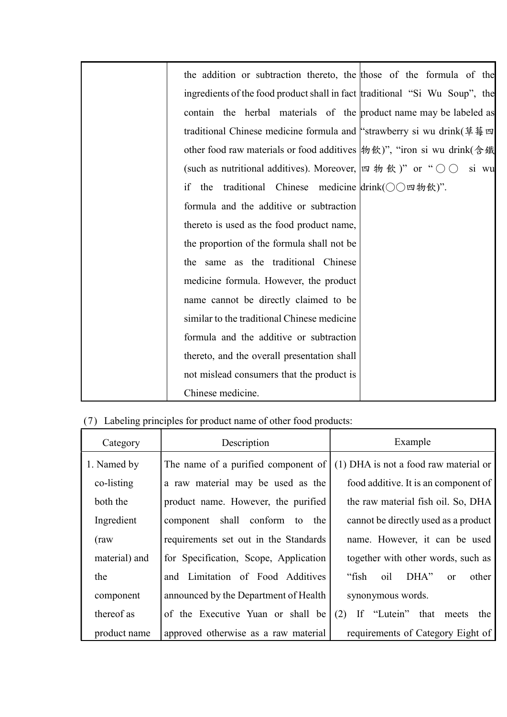| the addition or subtraction thereto, the those of the formula of the                                         |
|--------------------------------------------------------------------------------------------------------------|
| ingredients of the food product shall in fact traditional "Si Wu Soup", the                                  |
| contain the herbal materials of the product name may be labeled as                                           |
| traditional Chinese medicine formula and "strawberry si wu drink(草莓                                          |
| other food raw materials or food additives  物飲)", "iron si wu drink(含鐵                                       |
| (such as nutritional additives). Moreover, $\left[\alpha \# \& \right)$ " or " $\bigcirc \bigcirc$<br>si wu  |
| traditional Chinese medicine $\text{drink}(\bigcirc \bigcirc \text{m} \# \text{f} \text{t})$ ".<br>if<br>the |
| formula and the additive or subtraction                                                                      |
| thereto is used as the food product name,                                                                    |
| the proportion of the formula shall not be                                                                   |
| the same as the traditional Chinese                                                                          |
| medicine formula. However, the product                                                                       |
| name cannot be directly claimed to be                                                                        |
| similar to the traditional Chinese medicine                                                                  |
| formula and the additive or subtraction                                                                      |
| thereto, and the overall presentation shall                                                                  |
| not mislead consumers that the product is                                                                    |
| Chinese medicine.                                                                                            |

|  |  |  |  |  |  | (7) Labeling principles for product name of other food products: |
|--|--|--|--|--|--|------------------------------------------------------------------|
|--|--|--|--|--|--|------------------------------------------------------------------|

| Category      | Description                           | Example                                        |  |  |
|---------------|---------------------------------------|------------------------------------------------|--|--|
| 1. Named by   | The name of a purified component of   | (1) DHA is not a food raw material or          |  |  |
| co-listing    | a raw material may be used as the     | food additive. It is an component of           |  |  |
| both the      | product name. However, the purified   | the raw material fish oil. So, DHA             |  |  |
| Ingredient    | component shall conform<br>the<br>to  | cannot be directly used as a product           |  |  |
| (raw)         | requirements set out in the Standards | name. However, it can be used                  |  |  |
| material) and | for Specification, Scope, Application | together with other words, such as             |  |  |
| the           | and Limitation of Food Additives      | "fish<br>oil<br>DHA"<br>other<br><sub>or</sub> |  |  |
| component     | announced by the Department of Health | synonymous words.                              |  |  |
| thereof as    | of the Executive Yuan or shall be     | If "Lutein" that<br>(2)<br>the<br>meets        |  |  |
| product name  | approved otherwise as a raw material  | requirements of Category Eight of              |  |  |